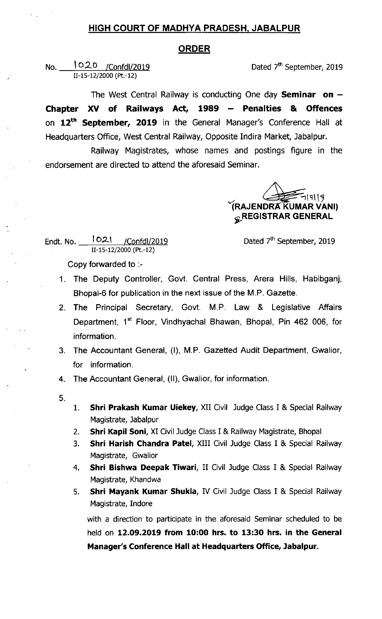## HIGH COURT OF MADHYA PRADESH. JABALPUR

## ORDER

No. 1020 /Confdl/2019 11-15-12/2000 (Pt.-12)

The West Central Railway is conducting One day **Seminar on**  $-$ Chapter XV of Railways Act, 1989 - Penalties & Offences on 12<sup>th</sup> September, 2019 in the General Manager's Conference Hall at Headquarters Office, West Central Railway, Opposite Indira Market, Jabalpur.

Railway Magistrates, whose names and postings figure in the endorsement are directed to attend the aforesaid Seminar.

> RAJENDRA KUMAR VANI) GREGISTRAR GENERAL

Endt. No.  $\frac{1021}{\sqrt{C} \cdot \text{C} \cdot \text{C} \cdot \text{C} \cdot \text{C} \cdot \text{C} \cdot \text{C} \cdot \text{C} \cdot \text{C} \cdot \text{C} \cdot \text{C} \cdot \text{C} \cdot \text{C} \cdot \text{C} \cdot \text{C} \cdot \text{C} \cdot \text{C} \cdot \text{C} \cdot \text{C} \cdot \text{C} \cdot \text{C} \cdot \text{C} \cdot \text{C} \cdot \text{C} \cdot \text{C} \cdot \text{C} \cdot \text{C} \cdot \text{C} \cdot \text{C} \$ II-15-12/2000 (Pt.-12)

Dated 7<sup>th</sup> September, 2019

Copy forwarded to :-

- 1. The Deputy Controller, Govt. Central Press, Arera Hills, Habibganj, Bhopal-6 for publication in the next issue of the M.P. Gazette.
- 2, The Principal Secretary, Govt. M.P. Law & Legislative Affairs Department, 1<sup>st</sup> Floor, Vindhyachal Bhawan, Bhopal, Pin 462 006, for information.
- 3. The Accountant General, (I), M.P. Gazetted Audit Department, Gwalior, for information.
- 4. The Accountant General, (11), Gwalior, for information.
- 5.
- 1. Shri Prakash Kumar Uiekey, XII Civil Judge Class I & Special Railway Magistrate, Jabalpur
- 2. Shri Kapil Soni, XI Civil Judge Class I & Railway Magistrate, Bhopal
- 3. Shri Harish Chandra Patel, XIII Civil Judge Class I & Special Railway Magistrate, Gwalior
- 4. Shri Bishwa Deepak Tiwari, II Civil Judge Class I & Special Railway Magistrate, Khandwa
- 5. **Shri Mayank Kumar Shukla, IV** Civil Judge Class I & Special Railway Magistrate, Indore

with a direction to participate in the aforesaid Seminar scheduled to be held on 12.09.2019 from 10:00 hrs. to 13:30 hrs. in the General Manager's Conference Hall at Headquarters Office, Jabalpur.

Dated 7<sup>th</sup> September, 2019